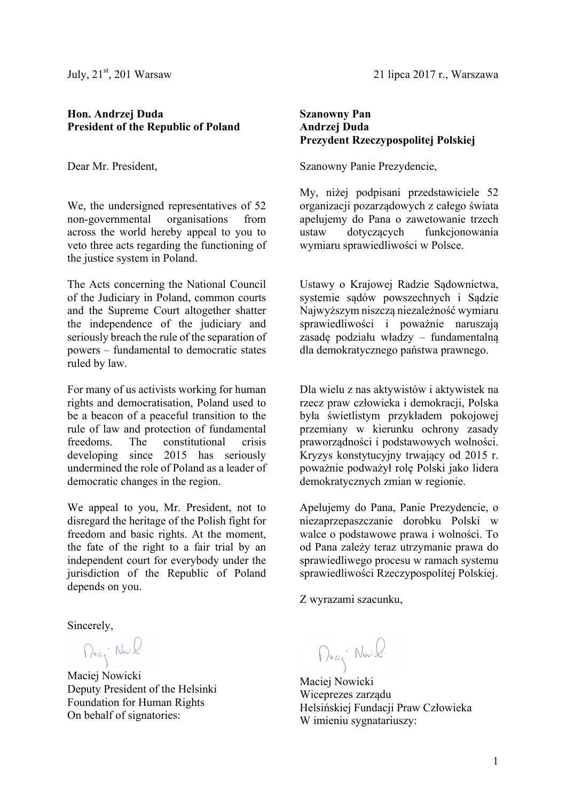July,  $21<sup>st</sup>$ , 201 Warsaw

## **Hon. Andrzej Duda President of the Republic of Poland**

Dear Mr. President,

We, the undersigned representatives of 52 non-governmental organisations from across the world hereby appeal to you to veto three acts regarding the functioning of the justice system in Poland.

The Acts concerning the National Council of the Judiciary in Poland, common courts and the Supreme Court altogether shatter the independence of the judiciary and seriously breach the rule of the separation of powers – fundamental to democratic states ruled by law.

For many of us activists working for human rights and democratisation, Poland used to be a beacon of a peaceful transition to the rule of law and protection of fundamental freedoms. The constitutional crisis developing since 2015 has seriously undermined the role of Poland as a leader of democratic changes in the region.

We appeal to you, Mr. President, not to disregard the heritage of the Polish fight for freedom and basic rights. At the moment, the fate of the right to a fair trial by an independent court for everybody under the jurisdiction of the Republic of Poland depends on you.

Sincerely,

Dog' Novil

Maciej Nowicki Deputy President of the Helsinki Foundation for Human Rights On behalf of signatories:

21 lipca 2017 r., Warszawa

## **Szanowny Pan Andrzej Duda Prezydent Rzeczypospolitej Polskiej**

Szanowny Panie Prezydencie,

My, niżej podpisani przedstawiciele 52 organizacji pozarządowych z całego świata apelujemy do Pana o zawetowanie trzech ustaw dotyczących funkcjonowania wymiaru sprawiedliwości w Polsce.

Ustawy o Krajowej Radzie Sądownictwa, systemie sądów powszechnych i Sądzie Najwyższym niszczą niezależność wymiaru sprawiedliwości i poważnie naruszają zasadę podziału władzy – fundamentalną dla demokratycznego państwa prawnego.

Dla wielu z nas aktywistów i aktywistek na rzecz praw człowieka i demokracji, Polska była świetlistym przykładem pokojowej przemiany w kierunku ochrony zasady praworządności i podstawowych wolności. Kryzys konstytucyjny trwający od 2015 r. poważnie podważył rolę Polski jako lidera demokratycznych zmian w regionie.

Apelujemy do Pana, Panie Prezydencie, o niezaprzepaszczanie dorobku Polski w walce o podstawowe prawa i wolności. To od Pana zależy teraz utrzymanie prawa do sprawiedliwego procesu w ramach systemu sprawiedliwości Rzeczypospolitej Polskiej.

Z wyrazami szacunku,

Dozy Novil

Maciej Nowicki Wiceprezes zarządu Helsińskiej Fundacji Praw Człowieka W imieniu sygnatariuszy: